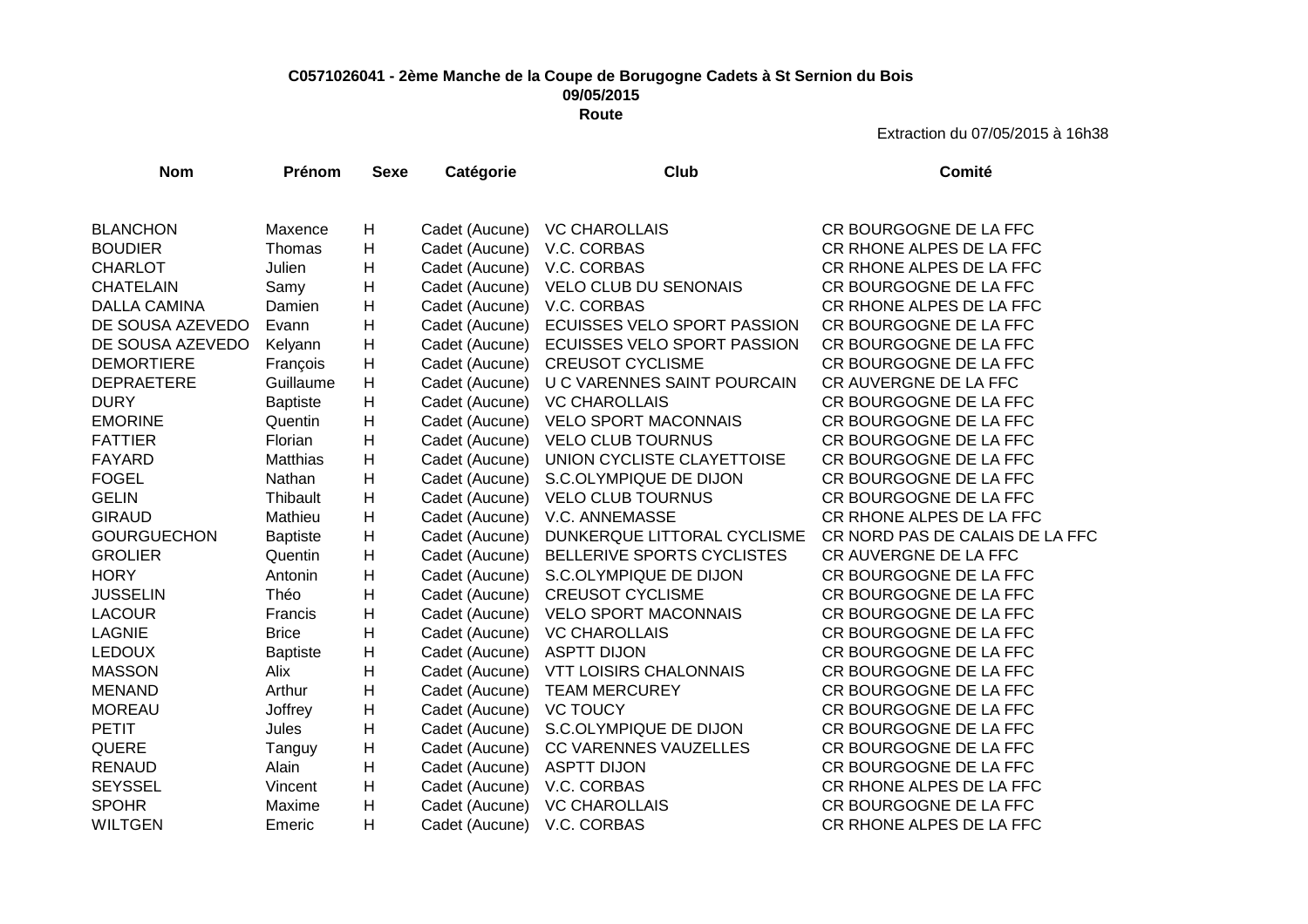## **C0571026041 - 2ème Manche de la Coupe de Borugogne Cadets à St Sernion du Bois 09/05/2015 Route**

| <b>Nom</b>          | Prénom          | <b>Sexe</b>               | Catégorie      | <b>Club</b>                   | Comité                          |
|---------------------|-----------------|---------------------------|----------------|-------------------------------|---------------------------------|
|                     |                 |                           |                |                               |                                 |
| <b>BLANCHON</b>     | Maxence         | H                         | Cadet (Aucune) | <b>VC CHAROLLAIS</b>          | CR BOURGOGNE DE LA FFC          |
| <b>BOUDIER</b>      | Thomas          | H                         | Cadet (Aucune) | V.C. CORBAS                   | CR RHONE ALPES DE LA FFC        |
| <b>CHARLOT</b>      | Julien          | H                         | Cadet (Aucune) | V.C. CORBAS                   | CR RHONE ALPES DE LA FFC        |
| <b>CHATELAIN</b>    | Samy            | Н                         | Cadet (Aucune) | <b>VELO CLUB DU SENONAIS</b>  | CR BOURGOGNE DE LA FFC          |
| <b>DALLA CAMINA</b> | Damien          | $\boldsymbol{\mathsf{H}}$ | Cadet (Aucune) | V.C. CORBAS                   | CR RHONE ALPES DE LA FFC        |
| DE SOUSA AZEVEDO    | Evann           | $\mathsf{H}$              | Cadet (Aucune) | ECUISSES VELO SPORT PASSION   | CR BOURGOGNE DE LA FFC          |
| DE SOUSA AZEVEDO    | Kelyann         | $\boldsymbol{\mathsf{H}}$ | Cadet (Aucune) | ECUISSES VELO SPORT PASSION   | CR BOURGOGNE DE LA FFC          |
| <b>DEMORTIERE</b>   | François        | $\boldsymbol{\mathsf{H}}$ | Cadet (Aucune) | <b>CREUSOT CYCLISME</b>       | CR BOURGOGNE DE LA FFC          |
| <b>DEPRAETERE</b>   | Guillaume       | Н                         | Cadet (Aucune) | U C VARENNES SAINT POURCAIN   | CR AUVERGNE DE LA FFC           |
| <b>DURY</b>         | <b>Baptiste</b> | H                         | Cadet (Aucune) | <b>VC CHAROLLAIS</b>          | CR BOURGOGNE DE LA FFC          |
| <b>EMORINE</b>      | Quentin         | H                         | Cadet (Aucune) | <b>VELO SPORT MACONNAIS</b>   | CR BOURGOGNE DE LA FFC          |
| <b>FATTIER</b>      | Florian         | $\boldsymbol{\mathsf{H}}$ | Cadet (Aucune) | <b>VELO CLUB TOURNUS</b>      | CR BOURGOGNE DE LA FFC          |
| <b>FAYARD</b>       | Matthias        | $\boldsymbol{\mathsf{H}}$ | Cadet (Aucune) | UNION CYCLISTE CLAYETTOISE    | CR BOURGOGNE DE LA FFC          |
| <b>FOGEL</b>        | Nathan          | $\boldsymbol{\mathsf{H}}$ | Cadet (Aucune) | S.C.OLYMPIQUE DE DIJON        | CR BOURGOGNE DE LA FFC          |
| <b>GELIN</b>        | Thibault        | $\boldsymbol{\mathsf{H}}$ | Cadet (Aucune) | <b>VELO CLUB TOURNUS</b>      | CR BOURGOGNE DE LA FFC          |
| <b>GIRAUD</b>       | Mathieu         | H                         | Cadet (Aucune) | V.C. ANNEMASSE                | CR RHONE ALPES DE LA FFC        |
| <b>GOURGUECHON</b>  | <b>Baptiste</b> | H                         | Cadet (Aucune) | DUNKERQUE LITTORAL CYCLISME   | CR NORD PAS DE CALAIS DE LA FFC |
| <b>GROLIER</b>      | Quentin         | $\boldsymbol{\mathsf{H}}$ | Cadet (Aucune) | BELLERIVE SPORTS CYCLISTES    | CR AUVERGNE DE LA FFC           |
| <b>HORY</b>         | Antonin         | $\mathsf{H}$              | Cadet (Aucune) | S.C.OLYMPIQUE DE DIJON        | CR BOURGOGNE DE LA FFC          |
| <b>JUSSELIN</b>     | Théo            | $\boldsymbol{\mathsf{H}}$ | Cadet (Aucune) | <b>CREUSOT CYCLISME</b>       | CR BOURGOGNE DE LA FFC          |
| <b>LACOUR</b>       | Francis         | $\boldsymbol{\mathsf{H}}$ | Cadet (Aucune) | <b>VELO SPORT MACONNAIS</b>   | CR BOURGOGNE DE LA FFC          |
| <b>LAGNIE</b>       | <b>Brice</b>    | Н                         | Cadet (Aucune) | <b>VC CHAROLLAIS</b>          | CR BOURGOGNE DE LA FFC          |
| <b>LEDOUX</b>       | <b>Baptiste</b> | H                         | Cadet (Aucune) | <b>ASPTT DIJON</b>            | CR BOURGOGNE DE LA FFC          |
| <b>MASSON</b>       | Alix            | Н                         | Cadet (Aucune) | <b>VTT LOISIRS CHALONNAIS</b> | CR BOURGOGNE DE LA FFC          |
| <b>MENAND</b>       | Arthur          | $\boldsymbol{\mathsf{H}}$ | Cadet (Aucune) | <b>TEAM MERCUREY</b>          | CR BOURGOGNE DE LA FFC          |
| <b>MOREAU</b>       | Joffrey         | $\boldsymbol{\mathsf{H}}$ | Cadet (Aucune) | <b>VC TOUCY</b>               | CR BOURGOGNE DE LA FFC          |
| <b>PETIT</b>        | Jules           | $\boldsymbol{\mathsf{H}}$ | Cadet (Aucune) | S.C.OLYMPIQUE DE DIJON        | CR BOURGOGNE DE LA FFC          |
| <b>QUERE</b>        | Tanguy          | $\boldsymbol{\mathsf{H}}$ | Cadet (Aucune) | CC VARENNES VAUZELLES         | CR BOURGOGNE DE LA FFC          |
| <b>RENAUD</b>       | Alain           | H                         | Cadet (Aucune) | <b>ASPTT DIJON</b>            | CR BOURGOGNE DE LA FFC          |
| <b>SEYSSEL</b>      | Vincent         | H                         | Cadet (Aucune) | V.C. CORBAS                   | CR RHONE ALPES DE LA FFC        |
| <b>SPOHR</b>        | Maxime          | H                         | Cadet (Aucune) | <b>VC CHAROLLAIS</b>          | CR BOURGOGNE DE LA FFC          |
| <b>WILTGEN</b>      | Emeric          | Η                         | Cadet (Aucune) | V.C. CORBAS                   | CR RHONE ALPES DE LA FFC        |